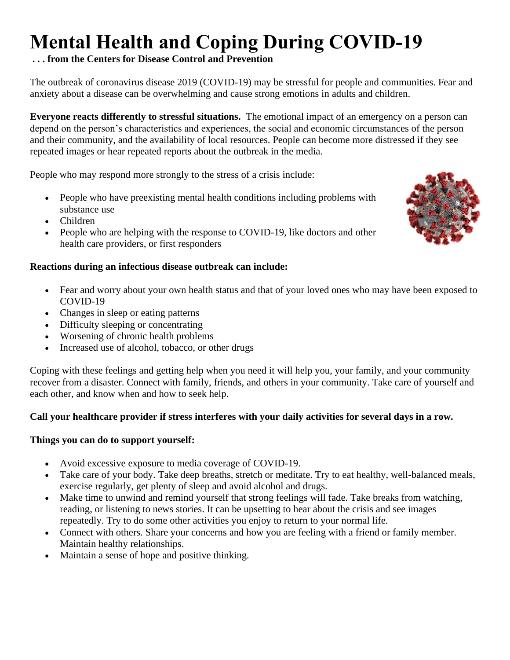# **Mental Health and Coping During COVID-19**

## **. . . from the Centers for Disease Control and Prevention**

The outbreak of coronavirus disease 2019 (COVID-19) may be stressful for people and communities. Fear and anxiety about a disease can be overwhelming and cause strong emotions in adults and children.

**Everyone reacts differently to stressful situations.** The emotional impact of an emergency on a person can depend on the person's characteristics and experiences, the social and economic circumstances of the person and their community, and the availability of local resources. People can become more distressed if they see repeated images or hear repeated reports about the outbreak in the media.

People who may respond more strongly to the stress of a crisis include:

- People who have preexisting mental health conditions including problems with substance use
- Children
- People who are helping with the response to COVID-19, like doctors and other health care providers, or first responders

## **Reactions during an infectious disease outbreak can include:**

- Fear and worry about your own health status and that of your loved ones who may have been exposed to COVID-19
- Changes in sleep or eating patterns
- Difficulty sleeping or concentrating
- Worsening of chronic health problems
- Increased use of alcohol, tobacco, or other drugs

Coping with these feelings and getting help when you need it will help you, your family, and your community recover from a disaster. Connect with family, friends, and others in your community. Take care of yourself and each other, and know when and how to seek help.

## **Call your healthcare provider if stress interferes with your daily activities for several days in a row.**

## **Things you can do to support yourself:**

- Avoid excessive exposure to media coverage of COVID-19.
- Take care of your body. Take deep breaths, stretch or meditate. Try to eat healthy, well-balanced meals, exercise regularly, get plenty of sleep and avoid alcohol and drugs.
- Make time to unwind and remind yourself that strong feelings will fade. Take breaks from watching, reading, or listening to news stories. It can be upsetting to hear about the crisis and see images repeatedly. Try to do some other activities you enjoy to return to your normal life.
- Connect with others. Share your concerns and how you are feeling with a friend or family member. Maintain healthy relationships.
- Maintain a sense of hope and positive thinking.